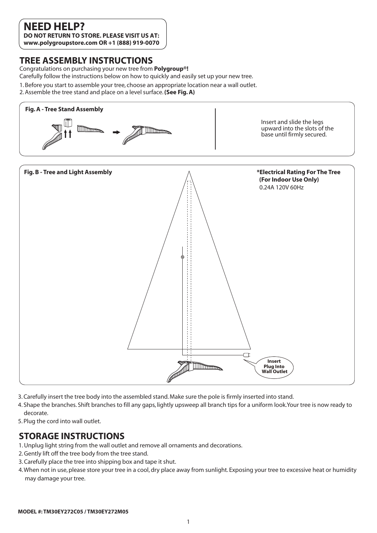## **NEED HELP?**

**DO NOT RETURN TO STORE. PLEASE VISIT US AT: www.polygroupstore.com OR +1 (888) 919-0070**

#### **TREE ASSEMBLY INSTRUCTIONS**

Congratulations on purchasing your new tree from **Polygroup®!**

Carefully follow the instructions below on how to quickly and easily set up your new tree.

- 1. Before you start to assemble your tree, choose an appropriate location near a wall outlet.
- 2. Assemble the tree stand and place on a level surface. **(See Fig. A)**



- 3. Carefully insert the tree body into the assembled stand. Make sure the pole is firmly inserted into stand.
- 4. Shape the branches. Shift branches to fill any gaps, lightly upsweep all branch tips for a uniform look.Your tree is now ready to decorate.
- 5. Plug the cord into wall outlet.

#### **STORAGE INSTRUCTIONS**

- 1. Unplug light string from the wall outlet and remove all ornaments and decorations.
- 2. Gently lift off the tree body from the tree stand.
- 3. Carefully place the tree into shipping box and tape it shut.
- 4. When not in use, please store your tree in a cool, dry place away from sunlight. Exposing your tree to excessive heat or humidity may damage your tree.